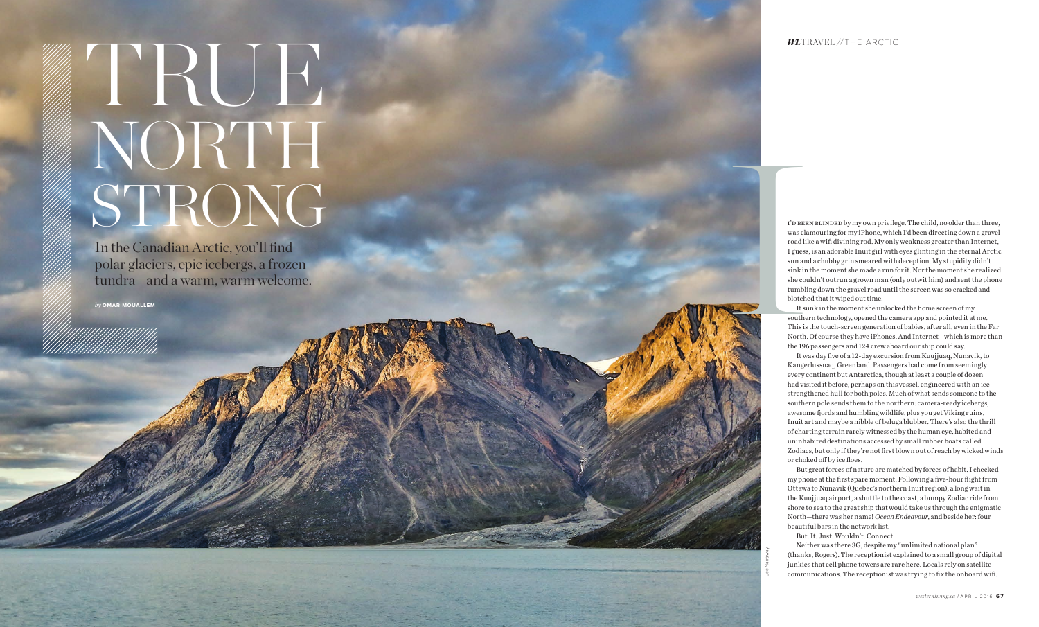## *WL*TRAVEL *//* THE ARCTIC

I'D BEEN BLINDED by my own privilege. The child, no older than three, was clamouring for my iPhone, which I'd been directing down a gravel road like a wifi divining rod. My only weakness greater than Internet, I guess, is an adorable Inuit girl with eyes glinting in the eternal Arctic sun and a chubby grin smeared with deception. My stupidity didn't sink in the moment she made a run for it. Nor the moment she realized she couldn't outrun a grown man (only outwit him) and sent the phone tumbling down the gravel road until the screen was so cracked and blotched that it wiped out time.

It was day five of a 12-day excursion from Kuujjuaq, Nunavik, to Kangerlussuaq, Greenland. Passengers had come from seemingly every continent but Antarctica, though at least a couple of dozen had visited it before, perhaps on this vessel, engineered with an icestrengthened hull for both poles. Much of what sends someone to the southern pole sends them to the northern: camera-ready icebergs, awesome fjords and humbling wildlife, plus you get Viking ruins, Inuit art and maybe a nibble of beluga blubber. There's also the thrill of charting terrain rarely witnessed by the human eye, habited and uninhabited destinations accessed by small rubber boats called Zodiacs, but only if they're not first blown out of reach by wicked winds or choked off by ice floes.

It sunk in the moment she unlocked the home screen of my southern technology, opened the camera app and pointed it at me. This is the touch-screen generation of babies, after all, even in the Far North. Of course they have iPhones. And Internet—which is more than the 196 passengers and 124 crew aboard our ship could say.

But great forces of nature are matched by forces of habit. I checked my phone at the first spare moment. Following a five-hour flight from Ottawa to Nunavik (Quebec's northern Inuit region), a long wait in the Kuujjuaq airport, a shuttle to the coast, a bumpy Zodiac ride from shore to sea to the great ship that would take us through the enigmatic North—there was her name! *Ocean Endeavour*, and beside her: four beautiful bars in the network list.

But. It. Just. Wouldn't. Connect.

Neither was there 3G, despite my "unlimited national plan" (thanks, Rogers). The receptionist explained to a small group of digital junkies that cell phone towers are rare here. Locals rely on satellite communications. The receptionist was trying to fix the onboard wifi.

In the Canadian Arctic, you'll find polar glaciers, epic icebergs, a frozen tundra—and a warm, warm welcome.

*by* **OMAR MOUALLEM**



## TRUE STRONG NORTH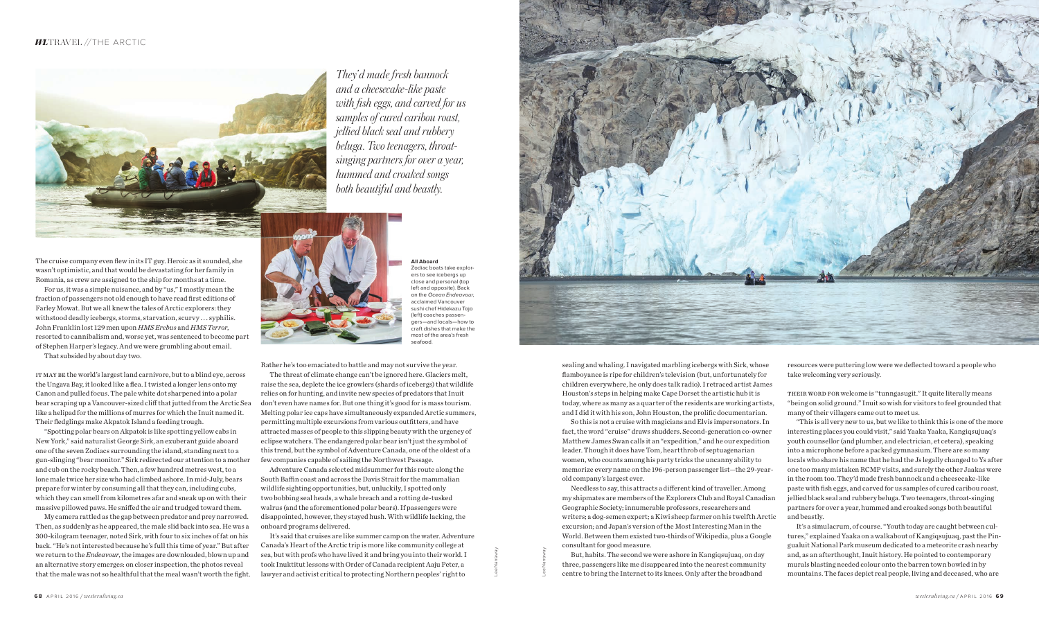

Lee Narraway

Lee Narraway



The cruise company even flew in its IT guy. Heroic as it sounded, she wasn't optimistic, and that would be devastating for her family in Romania, as crew are assigned to the ship for months at a time.

For us, it was a simple nuisance, and by "us," I mostly mean the fraction of passengers not old enough to have read first editions of Farley Mowat. But we all knew the tales of Arctic explorers: they withstood deadly icebergs, storms, starvation, scurvy . . . syphilis. John Franklin lost 129 men upon *HMS Erebus* and *HMS Terror*, resorted to cannibalism and, worse yet, was sentenced to become part of Stephen Harper's legacy. And we were grumbling about email.

"Spotting polar bears on Akpatok is like spotting yellow cabs in New York," said naturalist George Sirk, an exuberant guide aboard one of the seven Zodiacs surrounding the island, standing next to a gun-slinging "bear monitor." Sirk redirected our attention to a mother and cub on the rocky beach. Then, a few hundred metres west, to a lone male twice her size who had climbed ashore. In mid-July, bears prepare for winter by consuming all that they can, including cubs, which they can smell from kilometres afar and sneak up on with their massive pillowed paws. He sniffed the air and trudged toward them.

That subsided by about day two.

It may be the world's largest land carnivore, but to a blind eye, across the Ungava Bay, it looked like a flea. I twisted a longer lens onto my Canon and pulled focus. The pale white dot sharpened into a polar bear scraping up a Vancouver-sized cliff that jutted from the Arctic Sea like a helipad for the millions of murres for which the Inuit named it. Their fledglings make Akpatok Island a feeding trough.

My camera rattled as the gap between predator and prey narrowed. Then, as suddenly as he appeared, the male slid back into sea. He was a 300-kilogram teenager, noted Sirk, with four to six inches of fat on his back. "He's not interested because he's full this time of year." But after we return to the *Endeavour*, the images are downloaded, blown up and an alternative story emerges: on closer inspection, the photos reveal that the male was not so healthful that the meal wasn't worth the fight. Rather he's too emaciated to battle and may not survive the year.

Needless to say, this attracts a different kind of traveller. Among my shipmates are members of the Explorers Club and Royal Canadian Geographic Society; innumerable professors, researchers and writers; a dog-semen expert; a Kiwi sheep farmer on his twelfth Arctic excursion; and Japan's version of the Most Interesting Man in the World. Between them existed two-thirds of Wikipedia, plus a Google consultant for good measure.

The threat of climate change can't be ignored here. Glaciers melt, raise the sea, deplete the ice growlers (shards of icebergs) that wildlife relies on for hunting, and invite new species of predators that Inuit don't even have names for. But one thing it's good for is mass tourism. Melting polar ice caps have simultaneously expanded Arctic summers, permitting multiple excursions from various outfitters, and have attracted masses of people to this slipping beauty with the urgency of eclipse watchers. The endangered polar bear isn't just the symbol of this trend, but the symbol of Adventure Canada, one of the oldest of a few companies capable of sailing the Northwest Passage.

THEIR WORD FOR welcome is "tunngasugit." It quite literally means "being on solid ground." Inuit so wish for visitors to feel grounded that many of their villagers came out to meet us.

Adventure Canada selected midsummer for this route along the South Baffin coast and across the Davis Strait for the mammalian wildlife sighting opportunities, but, unluckily, I spotted only two bobbing seal heads, a whale breach and a rotting de-tusked walrus (and the aforementioned polar bears). If passengers were disappointed, however, they stayed hush. With wildlife lacking, the onboard programs delivered.

It's said that cruises are like summer camp on the water. Adventure Canada's Heart of the Arctic trip is more like community college at sea, but with profs who have lived it and bring you into their world. I took Inuktitut lessons with Order of Canada recipient Aaju Peter, a lawyer and activist critical to protecting Northern peoples' right to

sealing and whaling. I navigated marbling icebergs with Sirk, whose flamboyance is ripe for children's television (but, unfortunately for children everywhere, he only does talk radio). I retraced artist James Houston's steps in helping make Cape Dorset the artistic hub it is today, where as many as a quarter of the residents are working artists, and I did it with his son, John Houston, the prolific documentarian.

So this is not a cruise with magicians and Elvis impersonators. In fact, the word "cruise" draws shudders. Second-generation co-owner Matthew James Swan calls it an "expedition," and he our expedition leader. Though it does have Tom, heartthrob of septuagenarian women, who counts among his party tricks the uncanny ability to memorize every name on the 196-person passenger list—the 29-yearold company's largest ever.

But, habits. The second we were ashore in Kangiqsujuaq, on day three, passengers like me disappeared into the nearest community centre to bring the Internet to its knees. Only after the broadband

resources were puttering low were we deflected toward a people who take welcoming very seriously.

"This is all very new to us, but we like to think this is one of the more interesting places you could visit," said Yaaka Yaaka, Kangiqsujuaq's youth counsellor (and plumber, and electrician, et cetera), speaking into a microphone before a packed gymnasium. There are so many locals who share his name that he had the Js legally changed to Ys after one too many mistaken RCMP visits, and surely the other Jaakas were in the room too. They'd made fresh bannock and a cheesecake-like paste with fish eggs, and carved for us samples of cured caribou roast, jellied black seal and rubbery beluga. Two teenagers, throat-singing partners for over a year, hummed and croaked songs both beautiful and beastly.

It's a simulacrum, of course. "Youth today are caught between cultures," explained Yaaka on a walkabout of Kangiqsujuaq, past the Pingualuit National Park museum dedicated to a meteorite crash nearby and, as an afterthought, Inuit history. He pointed to contemporary murals blasting needed colour onto the barren town bowled in by mountains. The faces depict real people, living and deceased, who are

*They'd made fresh bannock and a cheesecake-like paste with fish eggs, and carved for us samples of cured caribou roast, jellied black seal and rubbery beluga. Two teenagers, throatsinging partners for over a year, hummed and croaked songs both beautiful and beastly.*

**All Aboard**  Zodiac boats take explorers to see icebergs up close and personal (top left and opposite). Back on the Ocean Endeavour. acclaimed Vancouver sushi chef Hidekazu Tojo (left) coaches passengers—and locals—how to craft dishes that make the most of the area's fresh seafood.